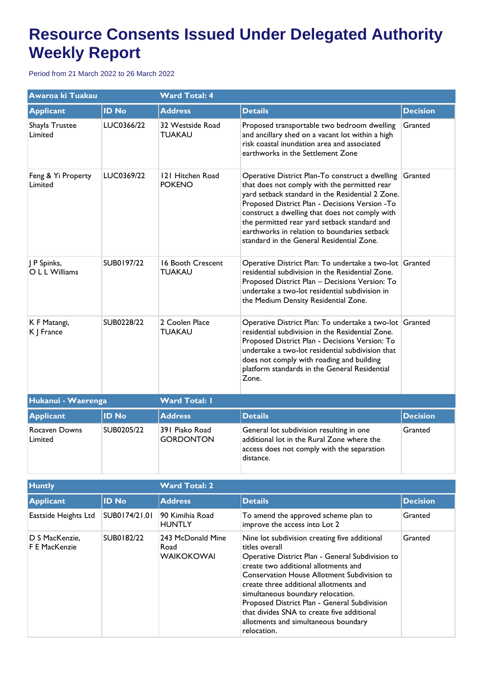## **Resource Consents Issued Under Delegated Authority Weekly Report**

Period from 21 March 2022 to 26 March 2022

| Awaroa ki Tuakau                |              | <b>Ward Total: 4</b>               |                                                                                                                                                                                                                                                                                                                                                                                                      |                 |  |
|---------------------------------|--------------|------------------------------------|------------------------------------------------------------------------------------------------------------------------------------------------------------------------------------------------------------------------------------------------------------------------------------------------------------------------------------------------------------------------------------------------------|-----------------|--|
| <b>Applicant</b>                | <b>ID No</b> | <b>Address</b>                     | <b>Details</b>                                                                                                                                                                                                                                                                                                                                                                                       | <b>Decision</b> |  |
| Shayla Trustee<br>Limited       | LUC0366/22   | 32 Westside Road<br><b>TUAKAU</b>  | Proposed transportable two bedroom dwelling<br>and ancillary shed on a vacant lot within a high<br>risk coastal inundation area and associated<br>earthworks in the Settlement Zone                                                                                                                                                                                                                  | Granted         |  |
| Feng & Yi Property<br>Limited   | LUC0369/22   | 121 Hitchen Road<br><b>POKENO</b>  | Operative District Plan-To construct a dwelling<br>that does not comply with the permitted rear<br>yard setback standard in the Residential 2 Zone.<br>Proposed District Plan - Decisions Version -To<br>construct a dwelling that does not comply with<br>the permitted rear yard setback standard and<br>earthworks in relation to boundaries setback<br>standard in the General Residential Zone. | Granted         |  |
| P Spinks,<br>O L L Williams     | SUB0197/22   | 16 Booth Crescent<br><b>TUAKAU</b> | Operative District Plan: To undertake a two-lot Granted<br>residential subdivision in the Residential Zone.<br>Proposed District Plan - Decisions Version: To<br>undertake a two-lot residential subdivision in<br>the Medium Density Residential Zone.                                                                                                                                              |                 |  |
| K F Matangi,<br>K J France      | SUB0228/22   | 2 Coolen Place<br><b>TUAKAU</b>    | Operative District Plan: To undertake a two-lot Granted<br>residential subdivision in the Residential Zone.<br>Proposed District Plan - Decisions Version: To<br>undertake a two-lot residential subdivision that<br>does not comply with roading and building<br>platform standards in the General Residential<br>Zone.                                                                             |                 |  |
| Hukanui - Waerenga              |              | <b>Ward Total: I</b>               |                                                                                                                                                                                                                                                                                                                                                                                                      |                 |  |
| <b>Applicant</b>                | <b>ID No</b> | <b>Address</b>                     | <b>Details</b>                                                                                                                                                                                                                                                                                                                                                                                       | <b>Decision</b> |  |
| <b>Rocaven Downs</b><br>Limited | SUB0205/22   | 391 Piako Road<br><b>GORDONTON</b> | General lot subdivision resulting in one<br>additional lot in the Rural Zone where the<br>access does not comply with the separation<br>distance.                                                                                                                                                                                                                                                    | Granted         |  |

| <b>Huntly</b>                   |               | <b>Ward Total: 2</b>                           |                                                                                                                                                                                                                                                                                                                                                                                                                                                       |                 |  |
|---------------------------------|---------------|------------------------------------------------|-------------------------------------------------------------------------------------------------------------------------------------------------------------------------------------------------------------------------------------------------------------------------------------------------------------------------------------------------------------------------------------------------------------------------------------------------------|-----------------|--|
| <b>Applicant</b>                | <b>ID No</b>  | <b>Address</b>                                 | <b>Details</b>                                                                                                                                                                                                                                                                                                                                                                                                                                        | <b>Decision</b> |  |
| Eastside Heights Ltd            | SUB0174/21.01 | 90 Kimihia Road<br><b>HUNTLY</b>               | To amend the approved scheme plan to<br>improve the access into Lot 2                                                                                                                                                                                                                                                                                                                                                                                 | Granted         |  |
| D S MacKenzie,<br>F E MacKenzie | SUB0182/22    | 243 McDonald Mine<br>Road<br><b>WAIKOKOWAI</b> | Nine lot subdivision creating five additional<br>titles overall<br>Operative District Plan - General Subdivision to<br>create two additional allotments and<br><b>Conservation House Allotment Subdivision to</b><br>create three additional allotments and<br>simultaneous boundary relocation.<br>Proposed District Plan - General Subdivision<br>that divides SNA to create five additional<br>allotments and simultaneous boundary<br>relocation. | Granted         |  |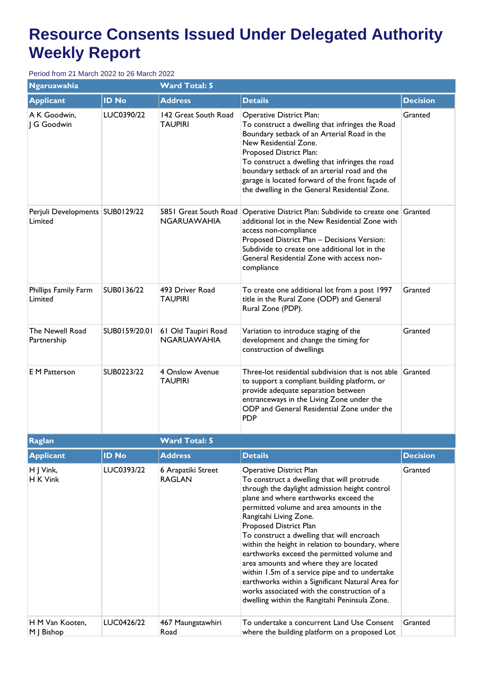## **Resource Consents Issued Under Delegated Authority Weekly Report**

Period from 21 March 2022 to 26 March 2022

| Ngaruawahia                                  |               | <b>Ward Total: 5</b>                      |                                                                                                                                                                                                                                                                                                                                                                                                                                                                                                                                                                                                                                                                  |                 |  |
|----------------------------------------------|---------------|-------------------------------------------|------------------------------------------------------------------------------------------------------------------------------------------------------------------------------------------------------------------------------------------------------------------------------------------------------------------------------------------------------------------------------------------------------------------------------------------------------------------------------------------------------------------------------------------------------------------------------------------------------------------------------------------------------------------|-----------------|--|
| <b>Applicant</b>                             | <b>ID No</b>  | <b>Address</b>                            | <b>Details</b>                                                                                                                                                                                                                                                                                                                                                                                                                                                                                                                                                                                                                                                   | <b>Decision</b> |  |
| A K Goodwin,<br>G Goodwin                    | LUC0390/22    | 142 Great South Road<br><b>TAUPIRI</b>    | <b>Operative District Plan:</b><br>To construct a dwelling that infringes the Road<br>Boundary setback of an Arterial Road in the<br>New Residential Zone.<br>Proposed District Plan:<br>To construct a dwelling that infringes the road<br>boundary setback of an arterial road and the<br>garage is located forward of the front façade of<br>the dwelling in the General Residential Zone.                                                                                                                                                                                                                                                                    | Granted         |  |
| Perjuli Developments   SUB0129/22<br>Limited |               | 5851 Great South Road<br>NGARUAWAHIA      | Operative District Plan: Subdivide to create one Granted<br>additional lot in the New Residential Zone with<br>access non-compliance<br>Proposed District Plan - Decisions Version:<br>Subdivide to create one additional lot in the<br>General Residential Zone with access non-<br>compliance                                                                                                                                                                                                                                                                                                                                                                  |                 |  |
| Phillips Family Farm<br>Limited              | SUB0136/22    | 493 Driver Road<br><b>TAUPIRI</b>         | To create one additional lot from a post 1997<br>title in the Rural Zone (ODP) and General<br>Rural Zone (PDP).                                                                                                                                                                                                                                                                                                                                                                                                                                                                                                                                                  | Granted         |  |
| The Newell Road<br>Partnership               | SUB0159/20.01 | 61 Old Taupiri Road<br><b>NGARUAWAHIA</b> | Variation to introduce staging of the<br>development and change the timing for<br>construction of dwellings                                                                                                                                                                                                                                                                                                                                                                                                                                                                                                                                                      | Granted         |  |
| <b>E</b> M Patterson                         | SUB0223/22    | 4 Onslow Avenue<br><b>TAUPIRI</b>         | Three-lot residential subdivision that is not able Granted<br>to support a compliant building platform, or<br>provide adequate separation between<br>entranceways in the Living Zone under the<br>ODP and General Residential Zone under the<br><b>PDP</b>                                                                                                                                                                                                                                                                                                                                                                                                       |                 |  |
| Raglan                                       |               | <b>Ward Total: 5</b>                      |                                                                                                                                                                                                                                                                                                                                                                                                                                                                                                                                                                                                                                                                  |                 |  |
| <b>Applicant</b>                             | <b>ID No</b>  | <b>Address</b>                            | <b>Details</b>                                                                                                                                                                                                                                                                                                                                                                                                                                                                                                                                                                                                                                                   | <b>Decision</b> |  |
| H J Vink,<br>H K Vink                        | LUC0393/22    | 6 Arapatiki Street<br><b>RAGLAN</b>       | Operative District Plan<br>To construct a dwelling that will protrude<br>through the daylight admission height control<br>plane and where earthworks exceed the<br>permitted volume and area amounts in the<br>Rangitahi Living Zone.<br>Proposed District Plan<br>To construct a dwelling that will encroach<br>within the height in relation to boundary, where<br>earthworks exceed the permitted volume and<br>area amounts and where they are located<br>within 1.5m of a service pipe and to undertake<br>earthworks within a Significant Natural Area for<br>works associated with the construction of a<br>dwelling within the Rangitahi Peninsula Zone. | Granted         |  |
| H M Van Kooten,<br>M   Bishop                | LUC0426/22    | 467 Maungatawhiri<br>Road                 | To undertake a concurrent Land Use Consent<br>where the building platform on a proposed Lot                                                                                                                                                                                                                                                                                                                                                                                                                                                                                                                                                                      | Granted         |  |